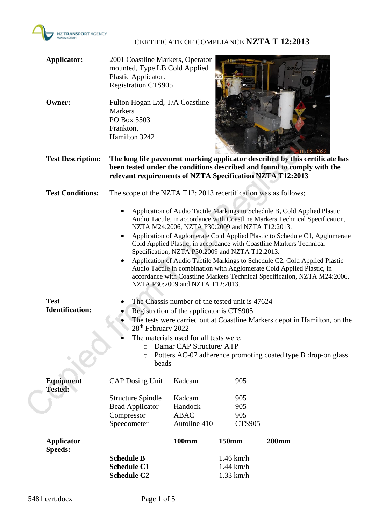

# CERTIFICATE OF COMPLIANCE **NZTA T 12:2013**

| <b>Applicator:</b><br><b>Owner:</b>   | 2001 Coastline Markers, Operator<br>mounted, Type LB Cold Applied<br>Plastic Applicator.<br><b>Registration CTS905</b><br>Fulton Hogan Ltd, T/A Coastline<br><b>Markers</b><br>PO Box 5503<br>Frankton,<br>Hamilton 3242                                                                                                                                                                                                                                                                                                                                                                                                                                                                                                                                                                                                                                                                                                                                                                                                                                                          |                                  |                                           |              |
|---------------------------------------|-----------------------------------------------------------------------------------------------------------------------------------------------------------------------------------------------------------------------------------------------------------------------------------------------------------------------------------------------------------------------------------------------------------------------------------------------------------------------------------------------------------------------------------------------------------------------------------------------------------------------------------------------------------------------------------------------------------------------------------------------------------------------------------------------------------------------------------------------------------------------------------------------------------------------------------------------------------------------------------------------------------------------------------------------------------------------------------|----------------------------------|-------------------------------------------|--------------|
| <b>Test Description:</b>              | 01.03.2022<br>The long life pavement marking applicator described by this certificate has<br>been tested under the conditions described and found to comply with the<br>relevant requirements of NZTA Specification NZTA T12:2013                                                                                                                                                                                                                                                                                                                                                                                                                                                                                                                                                                                                                                                                                                                                                                                                                                                 |                                  |                                           |              |
| <b>Test Conditions:</b>               | The scope of the NZTA T12: 2013 recertification was as follows;                                                                                                                                                                                                                                                                                                                                                                                                                                                                                                                                                                                                                                                                                                                                                                                                                                                                                                                                                                                                                   |                                  |                                           |              |
| <b>Test</b><br><b>Identification:</b> | Application of Audio Tactile Markings to Schedule B, Cold Applied Plastic<br>٠<br>Audio Tactile, in accordance with Coastline Markers Technical Specification,<br>NZTA M24:2006, NZTA P30:2009 and NZTA T12:2013.<br>Application of Agglomerate Cold Applied Plastic to Schedule C1, Agglomerate<br>Cold Applied Plastic, in accordance with Coastline Markers Technical<br>Specification, NZTA P30:2009 and NZTA T12:2013.<br>Application of Audio Tactile Markings to Schedule C2, Cold Applied Plastic<br>Audio Tactile in combination with Agglomerate Cold Applied Plastic, in<br>accordance with Coastline Markers Technical Specification, NZTA M24:2006,<br>NZTA P30:2009 and NZTA T12:2013.<br>The Chassis number of the tested unit is 47624<br>Registration of the applicator is CTS905<br>The tests were carried out at Coastline Markers depot in Hamilton, on the<br>28 <sup>th</sup> February 2022<br>The materials used for all tests were:<br>Damar CAP Structure/ ATP<br>$\circ$<br>Potters AC-07 adherence promoting coated type B drop-on glass<br>O<br>beads |                                  |                                           |              |
| <b>Equipment</b>                      | <b>CAP Dosing Unit</b>                                                                                                                                                                                                                                                                                                                                                                                                                                                                                                                                                                                                                                                                                                                                                                                                                                                                                                                                                                                                                                                            | Kadcam                           | 905                                       |              |
| <b>Tested:</b>                        | <b>Structure Spindle</b><br><b>Bead Applicator</b><br>Compressor                                                                                                                                                                                                                                                                                                                                                                                                                                                                                                                                                                                                                                                                                                                                                                                                                                                                                                                                                                                                                  | Kadcam<br>Handock<br><b>ABAC</b> | 905<br>905<br>905                         |              |
|                                       | Speedometer                                                                                                                                                                                                                                                                                                                                                                                                                                                                                                                                                                                                                                                                                                                                                                                                                                                                                                                                                                                                                                                                       | Autoline 410                     | <b>CTS905</b>                             |              |
| Applicator                            |                                                                                                                                                                                                                                                                                                                                                                                                                                                                                                                                                                                                                                                                                                                                                                                                                                                                                                                                                                                                                                                                                   | <b>100mm</b>                     | 150mm                                     | <b>200mm</b> |
| <b>Speeds:</b>                        | <b>Schedule B</b><br><b>Schedule C1</b><br><b>Schedule C2</b>                                                                                                                                                                                                                                                                                                                                                                                                                                                                                                                                                                                                                                                                                                                                                                                                                                                                                                                                                                                                                     |                                  | $1.46$ km/h<br>$1.44$ km/h<br>$1.33$ km/h |              |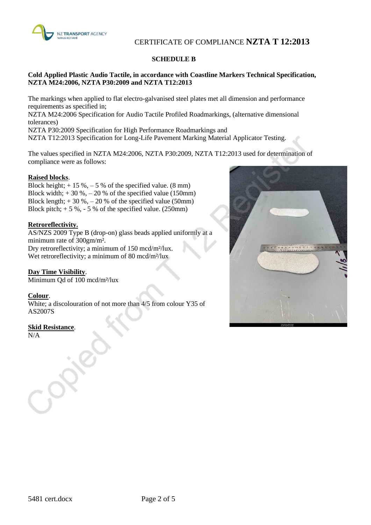

# CERTIFICATE OF COMPLIANCE **NZTA T 12:2013**

### **SCHEDULE B**

### **Cold Applied Plastic Audio Tactile, in accordance with Coastline Markers Technical Specification, NZTA M24:2006, NZTA P30:2009 and NZTA T12:2013**

The markings when applied to flat electro-galvanised steel plates met all dimension and performance requirements as specified in; NZTA M24:2006 Specification for Audio Tactile Profiled Roadmarkings, (alternative dimensional tolerances) NZTA P30:2009 Specification for High Performance Roadmarkings and

NZTA T12:2013 Specification for Long-Life Pavement Marking Material Applicator Testing.

The values specified in NZTA M24:2006, NZTA P30:2009, NZTA T12:2013 used for determination of compliance were as follows:

### **Raised blocks**.

Block height;  $+15\%,-5\%$  of the specified value. (8 mm) Block width;  $+30\%,-20\%$  of the specified value (150mm) Block length;  $+30\%,-20\%$  of the specified value (50mm) Block pitch;  $+ 5 \%$ ,  $- 5 \%$  of the specified value. (250mm)

### **Retroreflectivity.**

AS/NZS 2009 Type B (drop-on) glass beads applied uniformly at a minimum rate of 300gm/m². Dry retroreflectivity; a minimum of 150 mcd/m²/lux. Wet retroreflectivity; a minimum of 80 mcd/m<sup>2</sup>/lux

### **Day Time Visibility**.

Minimum Qd of 100 mcd/m²/lux

### **Colour**.

White; a discolouration of not more than 4/5 from colour Y35 of AS2007S

### **Skid Resistance**.

N/A

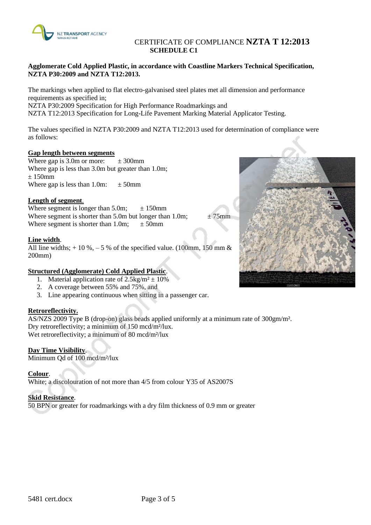

## CERTIFICATE OF COMPLIANCE **NZTA T 12:2013 SCHEDULE C1**

### **Agglomerate Cold Applied Plastic, in accordance with Coastline Markers Technical Specification, NZTA P30:2009 and NZTA T12:2013.**

The markings when applied to flat electro-galvanised steel plates met all dimension and performance requirements as specified in; NZTA P30:2009 Specification for High Performance Roadmarkings and

NZTA T12:2013 Specification for Long-Life Pavement Marking Material Applicator Testing.

The values specified in NZTA P30:2009 and NZTA T12:2013 used for determination of compliance were as follows:

### **Gap length between segments**

Where gap is  $3.0$ m or more:  $\pm 300$ mm Where gap is less than 3.0m but greater than 1.0m;  $± 150$ mm Where gap is less than 1.0m:  $\pm 50$ mm

### **Length of segment**.

Where segment is longer than 5.0m;  $\pm 150$ mm Where segment is shorter than 5.0m but longer than 1.0m;  $\pm 75$ mm Where segment is shorter than 1.0m;  $\pm 50$ mm

### **Line width**.

All line widths;  $+10\%,-5\%$  of the specified value. (100mm, 150 mm & 200mm)

### **Structured (Agglomerate) Cold Applied Plastic**.

- 1. Material application rate of  $2.5 \text{kg/m}^2 \pm 10\%$
- 2. A coverage between 55% and 75%, and
- 3. Line appearing continuous when sitting in a passenger car.

### **Retroreflectivity.**

AS/NZS 2009 Type B (drop-on) glass beads applied uniformly at a minimum rate of 300gm/m². Dry retroreflectivity; a minimum of 150 mcd/m²/lux. Wet retroreflectivity; a minimum of 80 mcd/m<sup>2</sup>/lux

### **Day Time Visibility**.

Minimum Qd of 100 mcd/m²/lux

### **Colour**.

White; a discolouration of not more than 4/5 from colour Y35 of AS2007S

### **Skid Resistance**.

50 BPN or greater for roadmarkings with a dry film thickness of 0.9 mm or greater

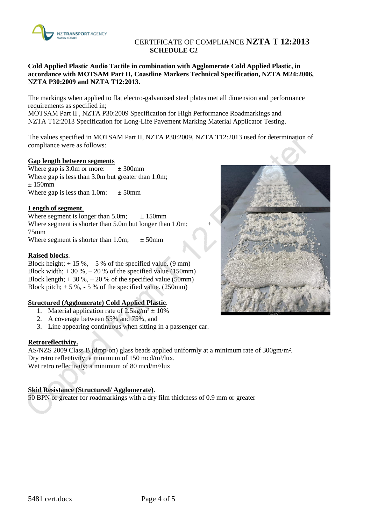

### CERTIFICATE OF COMPLIANCE **NZTA T 12:2013 SCHEDULE C2**

**Cold Applied Plastic Audio Tactile in combination with Agglomerate Cold Applied Plastic, in accordance with MOTSAM Part II, Coastline Markers Technical Specification, NZTA M24:2006, NZTA P30:2009 and NZTA T12:2013.**

The markings when applied to flat electro-galvanised steel plates met all dimension and performance requirements as specified in;

MOTSAM Part II , NZTA P30:2009 Specification for High Performance Roadmarkings and NZTA T12:2013 Specification for Long-Life Pavement Marking Material Applicator Testing.

The values specified in MOTSAM Part II, NZTA P30:2009, NZTA T12:2013 used for determination of compliance were as follows:

### **Gap length between segments**

Where gap is 3.0m or more:  $\pm 300$  mm Where gap is less than 3.0m but greater than 1.0m;  $+150$ mm Where gap is less than 1.0m:  $\pm$  50mm

### **Length of segment**.

Where segment is longer than  $5.0$ m;  $\pm 150$ mm Where segment is shorter than 5.0m but longer than 1.0m; 75mm Where segment is shorter than 1.0m;  $\pm 50$ mm

### **Raised blocks**.

Block height;  $+ 15 %,- 5 %$  of the specified value. (9 mm) Block width;  $+30\% - 20\%$  of the specified value (150mm) Block length;  $+30\%,-20\%$  of the specified value (50mm) Block pitch;  $+ 5 \%$ ,  $- 5 \%$  of the specified value. (250mm)

### **Structured (Agglomerate) Cold Applied Plastic**.

- 1. Material application rate of  $2.5 \text{kg/m}^2 \pm 10\%$
- 2. A coverage between 55% and 75%, and
- 3. Line appearing continuous when sitting in a passenger car.

### **Retroreflectivity.**

AS/NZS 2009 Class B (drop-on) glass beads applied uniformly at a minimum rate of 300gm/m². Dry retro reflectivity; a minimum of 150 mcd/m²/lux. Wet retro reflectivity; a minimum of 80 mcd/m<sup>2</sup>/lux

### **Skid Resistance (Structured/ Agglomerate)**.

50 BPN or greater for roadmarkings with a dry film thickness of 0.9 mm or greater